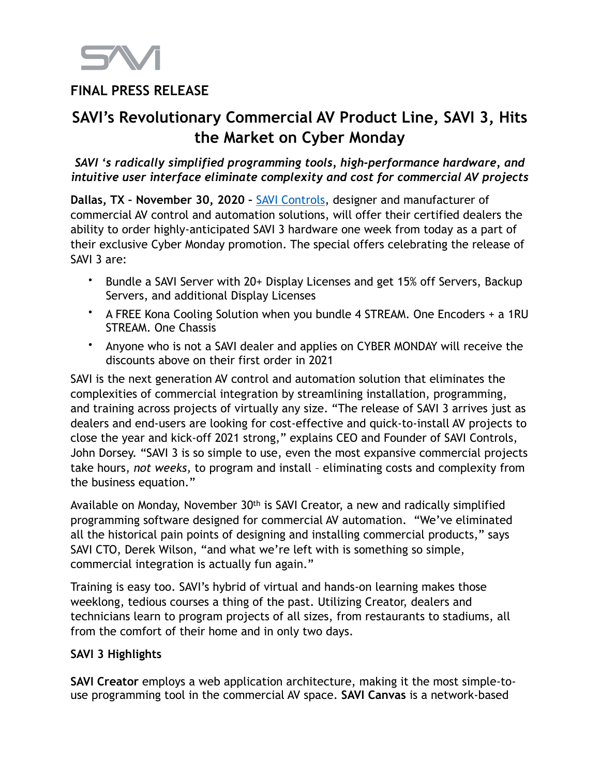

## **FINAL PRESS RELEASE**

# **SAVI's Revolutionary Commercial AV Product Line, SAVI 3, Hits the Market on Cyber Monday**

*SAVI 's radically simplified programming tools, high-performance hardware, and intuitive user interface eliminate complexity and cost for commercial AV projects* 

**Dallas, TX – November 30, 2020 –** [SAVI Controls,](http://www.hellosavi.com) designer and manufacturer of commercial AV control and automation solutions, will offer their certified dealers the ability to order highly-anticipated SAVI 3 hardware one week from today as a part of their exclusive Cyber Monday promotion. The special offers celebrating the release of SAVI 3 are:

- Bundle a SAVI Server with 20+ Display Licenses and get 15% off Servers, Backup Servers, and additional Display Licenses
- A FREE Kona Cooling Solution when you bundle 4 STREAM. One Encoders + a 1RU STREAM. One Chassis
- Anyone who is not a SAVI dealer and applies on CYBER MONDAY will receive the discounts above on their first order in 2021

SAVI is the next generation AV control and automation solution that eliminates the complexities of commercial integration by streamlining installation, programming, and training across projects of virtually any size. "The release of SAVI 3 arrives just as dealers and end-users are looking for cost-effective and quick-to-install AV projects to close the year and kick-off 2021 strong," explains CEO and Founder of SAVI Controls, John Dorsey. "SAVI 3 is so simple to use, even the most expansive commercial projects take hours, *not weeks,* to program and install – eliminating costs and complexity from the business equation."

Available on Monday, November 30th is SAVI Creator, a new and radically simplified programming software designed for commercial AV automation. "We've eliminated all the historical pain points of designing and installing commercial products," says SAVI CTO, Derek Wilson, "and what we're left with is something so simple, commercial integration is actually fun again."

Training is easy too. SAVI's hybrid of virtual and hands-on learning makes those weeklong, tedious courses a thing of the past. Utilizing Creator, dealers and technicians learn to program projects of all sizes, from restaurants to stadiums, all from the comfort of their home and in only two days.

### **SAVI 3 Highlights**

**SAVI Creator** employs a web application architecture, making it the most simple-touse programming tool in the commercial AV space. **SAVI Canvas** is a network-based